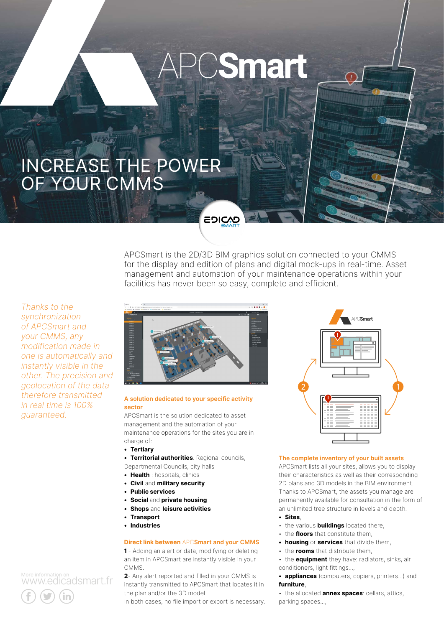# **PCSmart**

EDICAD

# Increase the power of your CMMS

**WWW.227** 

APCSmart is the 2D/3D BIM graphics solution connected to your CMMS for the display and edition of plans and digital mock-ups in real-time. Asset management and automation of your maintenance operations within your facilities has never been so easy, complete and efficient.

*Thanks to the synchronization of APCSmart and your CMMS, any modification made in one is automatically and instantly visible in the other. The precision and geolocation of the data therefore transmitted in real time is 100% guaranteed.*



## **A solution dedicated to your specific activity sector**

APCSmart is the solution dedicated to asset management and the automation of your maintenance operations for the sites you are in charge of:

- **• Tertiary**
- **• Territorial authorities**: Regional councils,
- Departmental Councils, city halls
- **• Health** : hospitals, clinics
- **• Civil** and **military security**
- **• Public services**
- **• Social** and **private housing**
- **• Shops** and **leisure activities**
- **• Transport**
- **• Industries**

## **Direct link between** APC**Smart and your CMMS**

**1** - Adding an alert or data, modifying or deleting an item in APCSmart are instantly visible in your **CMMS** 

**2**- Any alert reported and filled in your CMMS is instantly transmitted to APCSmart that locates it in the plan and/or the 3D model.

In both cases, no file import or export is necessary.



#### **The complete inventory of your built assets**

APCSmart lists all your sites, allows you to display their characteristics as well as their corresponding 2D plans and 3D models in the BIM environment. Thanks to APCSmart, the assets you manage are permanently available for consultation in the form of an unlimited tree structure in levels and depth:

- **• Sites**,
- the various **buildings** located there,
- the **floors** that constitute them,
- **• housing** or **services** that divide them,
- the **rooms** that distribute them,

• the **equipment** they have: radiators, sinks, air conditioners, light fittings...,

**• appliances** (computers, copiers, printers...) and **furniture**,

• the allocated **annex spaces**: cellars, attics, parking spaces...,